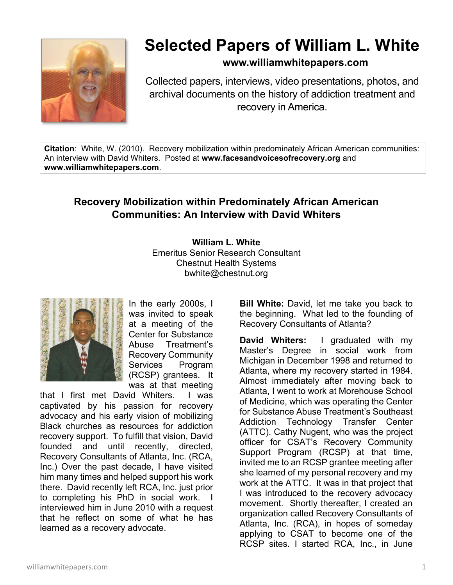

## **Selected Papers of William L. White**

**www.williamwhitepapers.com**

Collected papers, interviews, video presentations, photos, and archival documents on the history of addiction treatment and recovery in America.

**Citation**: White, W. (2010). Recovery mobilization within predominately African American communities: An interview with David Whiters. Posted at **www.facesandvoicesofrecovery.org** and **www.williamwhitepapers.com**.

## **Recovery Mobilization within Predominately African American Communities: An Interview with David Whiters**

**William L. White**  Emeritus Senior Research Consultant Chestnut Health Systems bwhite@chestnut.org



In the early 2000s, I was invited to speak at a meeting of the Center for Substance Abuse Treatment's Recovery Community Services Program (RCSP) grantees. It was at that meeting

that I first met David Whiters. I was captivated by his passion for recovery advocacy and his early vision of mobilizing Black churches as resources for addiction recovery support. To fulfill that vision, David founded and until recently, directed, Recovery Consultants of Atlanta, Inc. (RCA, Inc.) Over the past decade, I have visited him many times and helped support his work there. David recently left RCA, Inc. just prior to completing his PhD in social work. I interviewed him in June 2010 with a request that he reflect on some of what he has learned as a recovery advocate.

**Bill White:** David, let me take you back to the beginning. What led to the founding of Recovery Consultants of Atlanta?

**David Whiters:** I graduated with my Master's Degree in social work from Michigan in December 1998 and returned to Atlanta, where my recovery started in 1984. Almost immediately after moving back to Atlanta, I went to work at Morehouse School of Medicine, which was operating the Center for Substance Abuse Treatment's Southeast Addiction Technology Transfer Center (ATTC). Cathy Nugent, who was the project officer for CSAT's Recovery Community Support Program (RCSP) at that time, invited me to an RCSP grantee meeting after she learned of my personal recovery and my work at the ATTC. It was in that project that I was introduced to the recovery advocacy movement. Shortly thereafter, I created an organization called Recovery Consultants of Atlanta, Inc. (RCA), in hopes of someday applying to CSAT to become one of the RCSP sites. I started RCA, Inc., in June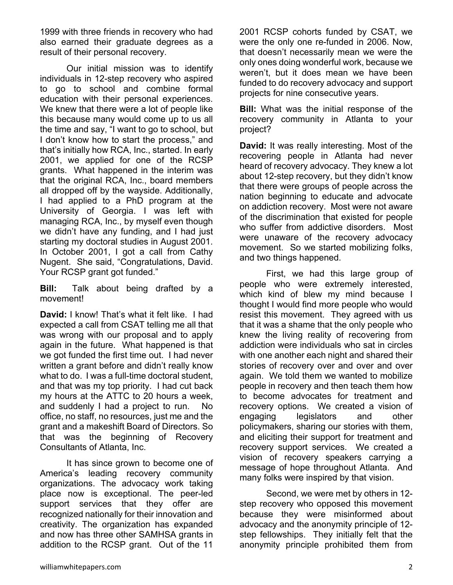1999 with three friends in recovery who had also earned their graduate degrees as a result of their personal recovery.

 Our initial mission was to identify individuals in 12-step recovery who aspired to go to school and combine formal education with their personal experiences. We knew that there were a lot of people like this because many would come up to us all the time and say, "I want to go to school, but I don't know how to start the process," and that's initially how RCA, Inc., started. In early 2001, we applied for one of the RCSP grants. What happened in the interim was that the original RCA, Inc., board members all dropped off by the wayside. Additionally, I had applied to a PhD program at the University of Georgia. I was left with managing RCA, Inc., by myself even though we didn't have any funding, and I had just starting my doctoral studies in August 2001. In October 2001, I got a call from Cathy Nugent. She said, "Congratulations, David. Your RCSP grant got funded."

**Bill:** Talk about being drafted by a movement!

**David:** I know! That's what it felt like. I had expected a call from CSAT telling me all that was wrong with our proposal and to apply again in the future. What happened is that we got funded the first time out. I had never written a grant before and didn't really know what to do. I was a full-time doctoral student, and that was my top priority. I had cut back my hours at the ATTC to 20 hours a week, and suddenly I had a project to run. No office, no staff, no resources, just me and the grant and a makeshift Board of Directors. So that was the beginning of Recovery Consultants of Atlanta, Inc.

 It has since grown to become one of America's leading recovery community organizations. The advocacy work taking place now is exceptional. The peer-led support services that they offer are recognized nationally for their innovation and creativity. The organization has expanded and now has three other SAMHSA grants in addition to the RCSP grant. Out of the 11

2001 RCSP cohorts funded by CSAT, we were the only one re-funded in 2006. Now, that doesn't necessarily mean we were the only ones doing wonderful work, because we weren't, but it does mean we have been funded to do recovery advocacy and support projects for nine consecutive years.

**Bill:** What was the initial response of the recovery community in Atlanta to your project?

**David:** It was really interesting. Most of the recovering people in Atlanta had never heard of recovery advocacy. They knew a lot about 12-step recovery, but they didn't know that there were groups of people across the nation beginning to educate and advocate on addiction recovery. Most were not aware of the discrimination that existed for people who suffer from addictive disorders. Most were unaware of the recovery advocacy movement. So we started mobilizing folks, and two things happened.

 First, we had this large group of people who were extremely interested, which kind of blew my mind because I thought I would find more people who would resist this movement. They agreed with us that it was a shame that the only people who knew the living reality of recovering from addiction were individuals who sat in circles with one another each night and shared their stories of recovery over and over and over again. We told them we wanted to mobilize people in recovery and then teach them how to become advocates for treatment and recovery options. We created a vision of engaging legislators and other policymakers, sharing our stories with them, and eliciting their support for treatment and recovery support services. We created a vision of recovery speakers carrying a message of hope throughout Atlanta. And many folks were inspired by that vision.

 Second, we were met by others in 12 step recovery who opposed this movement because they were misinformed about advocacy and the anonymity principle of 12 step fellowships. They initially felt that the anonymity principle prohibited them from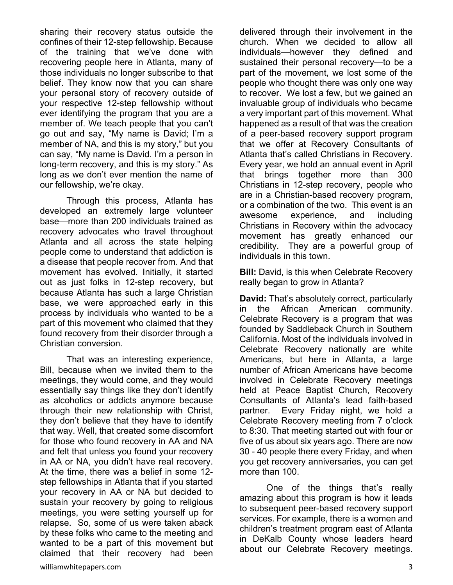sharing their recovery status outside the confines of their 12-step fellowship. Because of the training that we've done with recovering people here in Atlanta, many of those individuals no longer subscribe to that belief. They know now that you can share your personal story of recovery outside of your respective 12-step fellowship without ever identifying the program that you are a member of. We teach people that you can't go out and say, "My name is David; I'm a member of NA, and this is my story," but you can say, "My name is David. I'm a person in long-term recovery, and this is my story." As long as we don't ever mention the name of our fellowship, we're okay.

 Through this process, Atlanta has developed an extremely large volunteer base—more than 200 individuals trained as recovery advocates who travel throughout Atlanta and all across the state helping people come to understand that addiction is a disease that people recover from. And that movement has evolved. Initially, it started out as just folks in 12-step recovery, but because Atlanta has such a large Christian base, we were approached early in this process by individuals who wanted to be a part of this movement who claimed that they found recovery from their disorder through a Christian conversion.

 That was an interesting experience, Bill, because when we invited them to the meetings, they would come, and they would essentially say things like they don't identify as alcoholics or addicts anymore because through their new relationship with Christ, they don't believe that they have to identify that way. Well, that created some discomfort for those who found recovery in AA and NA and felt that unless you found your recovery in AA or NA, you didn't have real recovery. At the time, there was a belief in some 12 step fellowships in Atlanta that if you started your recovery in AA or NA but decided to sustain your recovery by going to religious meetings, you were setting yourself up for relapse. So, some of us were taken aback by these folks who came to the meeting and wanted to be a part of this movement but claimed that their recovery had been delivered through their involvement in the church. When we decided to allow all individuals—however they defined and sustained their personal recovery—to be a part of the movement, we lost some of the people who thought there was only one way to recover. We lost a few, but we gained an invaluable group of individuals who became a very important part of this movement. What happened as a result of that was the creation of a peer-based recovery support program that we offer at Recovery Consultants of Atlanta that's called Christians in Recovery. Every year, we hold an annual event in April that brings together more than 300 Christians in 12-step recovery, people who are in a Christian-based recovery program, or a combination of the two. This event is an awesome experience, and including Christians in Recovery within the advocacy movement has greatly enhanced our credibility. They are a powerful group of individuals in this town.

**Bill:** David, is this when Celebrate Recovery really began to grow in Atlanta?

**David:** That's absolutely correct, particularly in the African American community. Celebrate Recovery is a program that was founded by Saddleback Church in Southern California. Most of the individuals involved in Celebrate Recovery nationally are white Americans, but here in Atlanta, a large number of African Americans have become involved in Celebrate Recovery meetings held at Peace Baptist Church, Recovery Consultants of Atlanta's lead faith-based partner. Every Friday night, we hold a Celebrate Recovery meeting from 7 o'clock to 8:30. That meeting started out with four or five of us about six years ago. There are now 30 - 40 people there every Friday, and when you get recovery anniversaries, you can get more than 100.

 One of the things that's really amazing about this program is how it leads to subsequent peer-based recovery support services. For example, there is a women and children's treatment program east of Atlanta in DeKalb County whose leaders heard about our Celebrate Recovery meetings.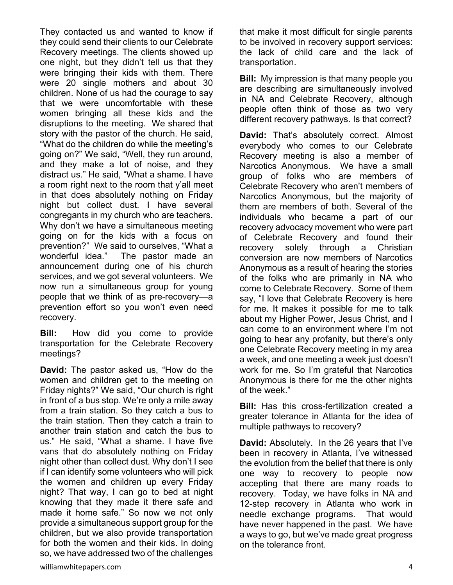They contacted us and wanted to know if they could send their clients to our Celebrate Recovery meetings. The clients showed up one night, but they didn't tell us that they were bringing their kids with them. There were 20 single mothers and about 30 children. None of us had the courage to say that we were uncomfortable with these women bringing all these kids and the disruptions to the meeting. We shared that story with the pastor of the church. He said, "What do the children do while the meeting's going on?" We said, "Well, they run around, and they make a lot of noise, and they distract us." He said, "What a shame. I have a room right next to the room that y'all meet in that does absolutely nothing on Friday night but collect dust. I have several congregants in my church who are teachers. Why don't we have a simultaneous meeting going on for the kids with a focus on prevention?" We said to ourselves, "What a wonderful idea." The pastor made an announcement during one of his church services, and we got several volunteers. We now run a simultaneous group for young people that we think of as pre-recovery—a prevention effort so you won't even need recovery.

**Bill:** How did you come to provide transportation for the Celebrate Recovery meetings?

**David:** The pastor asked us, "How do the women and children get to the meeting on Friday nights?" We said, "Our church is right in front of a bus stop. We're only a mile away from a train station. So they catch a bus to the train station. Then they catch a train to another train station and catch the bus to us." He said, "What a shame. I have five vans that do absolutely nothing on Friday night other than collect dust. Why don't I see if I can identify some volunteers who will pick the women and children up every Friday night? That way, I can go to bed at night knowing that they made it there safe and made it home safe." So now we not only provide a simultaneous support group for the children, but we also provide transportation for both the women and their kids. In doing so, we have addressed two of the challenges

that make it most difficult for single parents to be involved in recovery support services: the lack of child care and the lack of transportation.

**Bill:** My impression is that many people you are describing are simultaneously involved in NA and Celebrate Recovery, although people often think of those as two very different recovery pathways. Is that correct?

**David:** That's absolutely correct. Almost everybody who comes to our Celebrate Recovery meeting is also a member of Narcotics Anonymous. We have a small group of folks who are members of Celebrate Recovery who aren't members of Narcotics Anonymous, but the majority of them are members of both. Several of the individuals who became a part of our recovery advocacy movement who were part of Celebrate Recovery and found their recovery solely through a Christian conversion are now members of Narcotics Anonymous as a result of hearing the stories of the folks who are primarily in NA who come to Celebrate Recovery. Some of them say, "I love that Celebrate Recovery is here for me. It makes it possible for me to talk about my Higher Power, Jesus Christ, and I can come to an environment where I'm not going to hear any profanity, but there's only one Celebrate Recovery meeting in my area a week, and one meeting a week just doesn't work for me. So I'm grateful that Narcotics Anonymous is there for me the other nights of the week."

**Bill:** Has this cross-fertilization created a greater tolerance in Atlanta for the idea of multiple pathways to recovery?

**David:** Absolutely. In the 26 years that I've been in recovery in Atlanta, I've witnessed the evolution from the belief that there is only one way to recovery to people now accepting that there are many roads to recovery. Today, we have folks in NA and 12-step recovery in Atlanta who work in needle exchange programs. That would have never happened in the past. We have a ways to go, but we've made great progress on the tolerance front.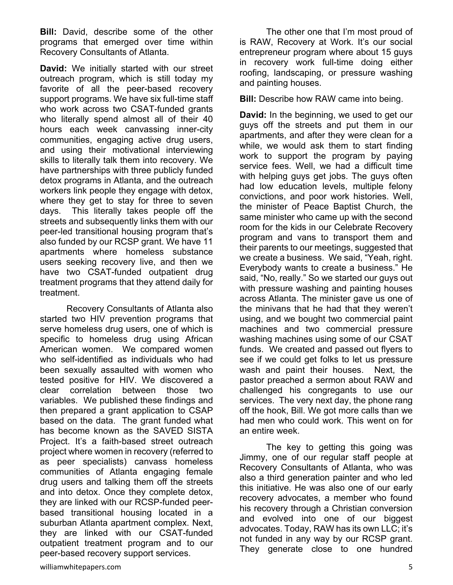**Bill:** David, describe some of the other programs that emerged over time within Recovery Consultants of Atlanta.

**David:** We initially started with our street outreach program, which is still today my favorite of all the peer-based recovery support programs. We have six full-time staff who work across two CSAT-funded grants who literally spend almost all of their 40 hours each week canvassing inner-city communities, engaging active drug users, and using their motivational interviewing skills to literally talk them into recovery. We have partnerships with three publicly funded detox programs in Atlanta, and the outreach workers link people they engage with detox, where they get to stay for three to seven days. This literally takes people off the streets and subsequently links them with our peer-led transitional housing program that's also funded by our RCSP grant. We have 11 apartments where homeless substance users seeking recovery live, and then we have two CSAT-funded outpatient drug treatment programs that they attend daily for treatment.

 Recovery Consultants of Atlanta also started two HIV prevention programs that serve homeless drug users, one of which is specific to homeless drug using African American women. We compared women who self-identified as individuals who had been sexually assaulted with women who tested positive for HIV. We discovered a clear correlation between those two variables. We published these findings and then prepared a grant application to CSAP based on the data. The grant funded what has become known as the SAVED SISTA Project. It's a faith-based street outreach project where women in recovery (referred to as peer specialists) canvass homeless communities of Atlanta engaging female drug users and talking them off the streets and into detox. Once they complete detox, they are linked with our RCSP-funded peerbased transitional housing located in a suburban Atlanta apartment complex. Next, they are linked with our CSAT-funded outpatient treatment program and to our peer-based recovery support services.

 The other one that I'm most proud of is RAW, Recovery at Work. It's our social entrepreneur program where about 15 guys in recovery work full-time doing either roofing, landscaping, or pressure washing and painting houses.

**Bill:** Describe how RAW came into being.

**David:** In the beginning, we used to get our guys off the streets and put them in our apartments, and after they were clean for a while, we would ask them to start finding work to support the program by paying service fees. Well, we had a difficult time with helping guys get jobs. The guys often had low education levels, multiple felony convictions, and poor work histories. Well, the minister of Peace Baptist Church, the same minister who came up with the second room for the kids in our Celebrate Recovery program and vans to transport them and their parents to our meetings, suggested that we create a business. We said, "Yeah, right. Everybody wants to create a business." He said, "No, really." So we started our guys out with pressure washing and painting houses across Atlanta. The minister gave us one of the minivans that he had that they weren't using, and we bought two commercial paint machines and two commercial pressure washing machines using some of our CSAT funds. We created and passed out flyers to see if we could get folks to let us pressure wash and paint their houses. Next, the pastor preached a sermon about RAW and challenged his congregants to use our services. The very next day, the phone rang off the hook, Bill. We got more calls than we had men who could work. This went on for an entire week.

 The key to getting this going was Jimmy, one of our regular staff people at Recovery Consultants of Atlanta, who was also a third generation painter and who led this initiative. He was also one of our early recovery advocates, a member who found his recovery through a Christian conversion and evolved into one of our biggest advocates. Today, RAW has its own LLC; it's not funded in any way by our RCSP grant. They generate close to one hundred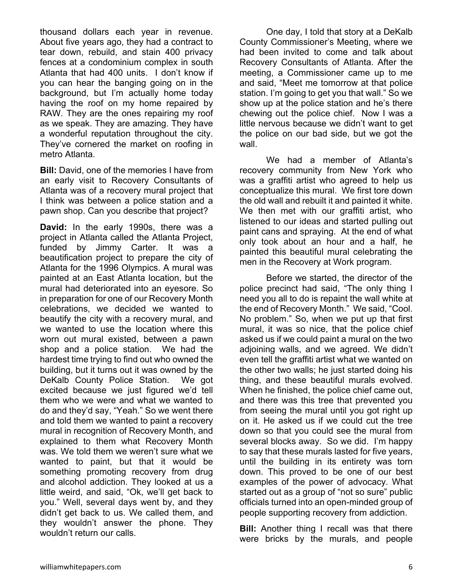thousand dollars each year in revenue. About five years ago, they had a contract to tear down, rebuild, and stain 400 privacy fences at a condominium complex in south Atlanta that had 400 units. I don't know if you can hear the banging going on in the background, but I'm actually home today having the roof on my home repaired by RAW. They are the ones repairing my roof as we speak. They are amazing. They have a wonderful reputation throughout the city. They've cornered the market on roofing in metro Atlanta.

**Bill:** David, one of the memories I have from an early visit to Recovery Consultants of Atlanta was of a recovery mural project that I think was between a police station and a pawn shop. Can you describe that project?

**David:** In the early 1990s, there was a project in Atlanta called the Atlanta Project, funded by Jimmy Carter. It was a beautification project to prepare the city of Atlanta for the 1996 Olympics. A mural was painted at an East Atlanta location, but the mural had deteriorated into an eyesore. So in preparation for one of our Recovery Month celebrations, we decided we wanted to beautify the city with a recovery mural, and we wanted to use the location where this worn out mural existed, between a pawn shop and a police station. We had the hardest time trying to find out who owned the building, but it turns out it was owned by the DeKalb County Police Station. We got excited because we just figured we'd tell them who we were and what we wanted to do and they'd say, "Yeah." So we went there and told them we wanted to paint a recovery mural in recognition of Recovery Month, and explained to them what Recovery Month was. We told them we weren't sure what we wanted to paint, but that it would be something promoting recovery from drug and alcohol addiction. They looked at us a little weird, and said, "Ok, we'll get back to you." Well, several days went by, and they didn't get back to us. We called them, and they wouldn't answer the phone. They wouldn't return our calls.

 One day, I told that story at a DeKalb County Commissioner's Meeting, where we had been invited to come and talk about Recovery Consultants of Atlanta. After the meeting, a Commissioner came up to me and said, "Meet me tomorrow at that police station. I'm going to get you that wall." So we show up at the police station and he's there chewing out the police chief. Now I was a little nervous because we didn't want to get the police on our bad side, but we got the wall.

We had a member of Atlanta's recovery community from New York who was a graffiti artist who agreed to help us conceptualize this mural. We first tore down the old wall and rebuilt it and painted it white. We then met with our graffiti artist, who listened to our ideas and started pulling out paint cans and spraying. At the end of what only took about an hour and a half, he painted this beautiful mural celebrating the men in the Recovery at Work program.

 Before we started, the director of the police precinct had said, "The only thing I need you all to do is repaint the wall white at the end of Recovery Month." We said, "Cool. No problem." So, when we put up that first mural, it was so nice, that the police chief asked us if we could paint a mural on the two adjoining walls, and we agreed. We didn't even tell the graffiti artist what we wanted on the other two walls; he just started doing his thing, and these beautiful murals evolved. When he finished, the police chief came out, and there was this tree that prevented you from seeing the mural until you got right up on it. He asked us if we could cut the tree down so that you could see the mural from several blocks away. So we did. I'm happy to say that these murals lasted for five years, until the building in its entirety was torn down. This proved to be one of our best examples of the power of advocacy. What started out as a group of "not so sure" public officials turned into an open-minded group of people supporting recovery from addiction.

**Bill:** Another thing I recall was that there were bricks by the murals, and people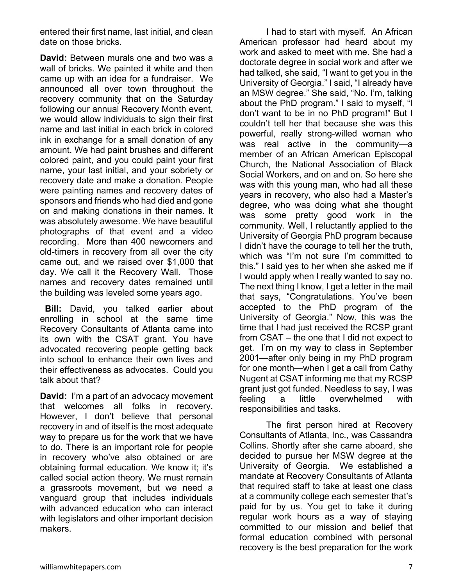entered their first name, last initial, and clean date on those bricks.

**David:** Between murals one and two was a wall of bricks. We painted it white and then came up with an idea for a fundraiser. We announced all over town throughout the recovery community that on the Saturday following our annual Recovery Month event, we would allow individuals to sign their first name and last initial in each brick in colored ink in exchange for a small donation of any amount. We had paint brushes and different colored paint, and you could paint your first name, your last initial, and your sobriety or recovery date and make a donation. People were painting names and recovery dates of sponsors and friends who had died and gone on and making donations in their names. It was absolutely awesome. We have beautiful photographs of that event and a video recording. More than 400 newcomers and old-timers in recovery from all over the city came out, and we raised over \$1,000 that day. We call it the Recovery Wall. Those names and recovery dates remained until the building was leveled some years ago.

 **Bill:** David, you talked earlier about enrolling in school at the same time Recovery Consultants of Atlanta came into its own with the CSAT grant. You have advocated recovering people getting back into school to enhance their own lives and their effectiveness as advocates. Could you talk about that?

**David:** I'm a part of an advocacy movement that welcomes all folks in recovery. However, I don't believe that personal recovery in and of itself is the most adequate way to prepare us for the work that we have to do. There is an important role for people in recovery who've also obtained or are obtaining formal education. We know it; it's called social action theory. We must remain a grassroots movement, but we need a vanguard group that includes individuals with advanced education who can interact with legislators and other important decision makers.

 I had to start with myself. An African American professor had heard about my work and asked to meet with me. She had a doctorate degree in social work and after we had talked, she said, "I want to get you in the University of Georgia." I said, "I already have an MSW degree." She said, "No. I'm, talking about the PhD program." I said to myself, "I don't want to be in no PhD program!" But I couldn't tell her that because she was this powerful, really strong-willed woman who was real active in the community—a member of an African American Episcopal Church, the National Association of Black Social Workers, and on and on. So here she was with this young man, who had all these years in recovery, who also had a Master's degree, who was doing what she thought was some pretty good work in the community. Well, I reluctantly applied to the University of Georgia PhD program because I didn't have the courage to tell her the truth, which was "I'm not sure I'm committed to this." I said yes to her when she asked me if I would apply when I really wanted to say no. The next thing I know, I get a letter in the mail that says, "Congratulations. You've been accepted to the PhD program of the University of Georgia." Now, this was the time that I had just received the RCSP grant from CSAT – the one that I did not expect to get. I'm on my way to class in September 2001—after only being in my PhD program for one month—when I get a call from Cathy Nugent at CSAT informing me that my RCSP grant just got funded. Needless to say, I was feeling a little overwhelmed with responsibilities and tasks.

 The first person hired at Recovery Consultants of Atlanta, Inc., was Cassandra Collins. Shortly after she came aboard, she decided to pursue her MSW degree at the University of Georgia. We established a mandate at Recovery Consultants of Atlanta that required staff to take at least one class at a community college each semester that's paid for by us. You get to take it during regular work hours as a way of staying committed to our mission and belief that formal education combined with personal recovery is the best preparation for the work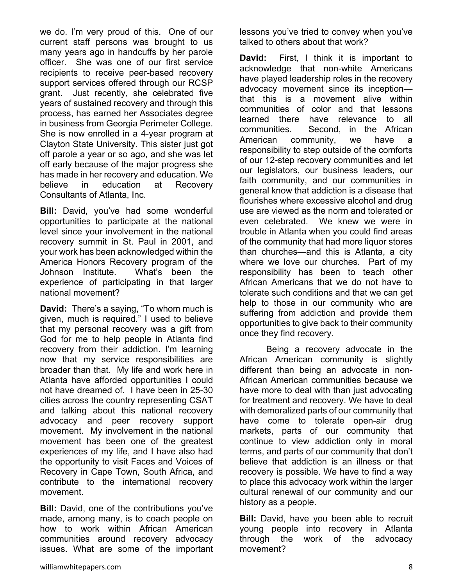we do. I'm very proud of this. One of our current staff persons was brought to us many years ago in handcuffs by her parole officer. She was one of our first service recipients to receive peer-based recovery support services offered through our RCSP grant. Just recently, she celebrated five years of sustained recovery and through this process, has earned her Associates degree in business from Georgia Perimeter College. She is now enrolled in a 4-year program at Clayton State University. This sister just got off parole a year or so ago, and she was let off early because of the major progress she has made in her recovery and education. We believe in education at Recovery Consultants of Atlanta, Inc.

**Bill:** David, you've had some wonderful opportunities to participate at the national level since your involvement in the national recovery summit in St. Paul in 2001, and your work has been acknowledged within the America Honors Recovery program of the Johnson Institute. What's been the experience of participating in that larger national movement?

**David:** There's a saying, "To whom much is given, much is required." I used to believe that my personal recovery was a gift from God for me to help people in Atlanta find recovery from their addiction. I'm learning now that my service responsibilities are broader than that. My life and work here in Atlanta have afforded opportunities I could not have dreamed of. I have been in 25-30 cities across the country representing CSAT and talking about this national recovery advocacy and peer recovery support movement. My involvement in the national movement has been one of the greatest experiences of my life, and I have also had the opportunity to visit Faces and Voices of Recovery in Cape Town, South Africa, and contribute to the international recovery movement.

**Bill:** David, one of the contributions you've made, among many, is to coach people on how to work within African American communities around recovery advocacy issues. What are some of the important lessons you've tried to convey when you've talked to others about that work?

**David:** First, I think it is important to acknowledge that non-white Americans have played leadership roles in the recovery advocacy movement since its inception that this is a movement alive within communities of color and that lessons learned there have relevance to all communities. Second, in the African American community, we have a responsibility to step outside of the comforts of our 12-step recovery communities and let our legislators, our business leaders, our faith community, and our communities in general know that addiction is a disease that flourishes where excessive alcohol and drug use are viewed as the norm and tolerated or even celebrated. We knew we were in trouble in Atlanta when you could find areas of the community that had more liquor stores than churches—and this is Atlanta, a city where we love our churches. Part of my responsibility has been to teach other African Americans that we do not have to tolerate such conditions and that we can get help to those in our community who are suffering from addiction and provide them opportunities to give back to their community once they find recovery.

 Being a recovery advocate in the African American community is slightly different than being an advocate in non-African American communities because we have more to deal with than just advocating for treatment and recovery. We have to deal with demoralized parts of our community that have come to tolerate open-air drug markets, parts of our community that continue to view addiction only in moral terms, and parts of our community that don't believe that addiction is an illness or that recovery is possible. We have to find a way to place this advocacy work within the larger cultural renewal of our community and our history as a people.

**Bill:** David, have you been able to recruit young people into recovery in Atlanta through the work of the advocacy movement?